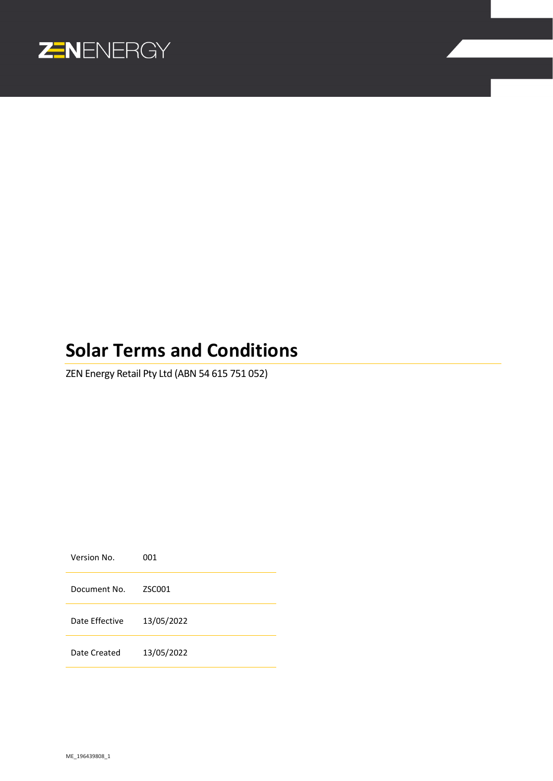

# **Solar Terms and Conditions**

ZEN Energy Retail Pty Ltd (ABN 54 615 751 052)

Version No. 001 Document No. ZSC001 Date Effective 13/05/2022 Date Created 13/05/2022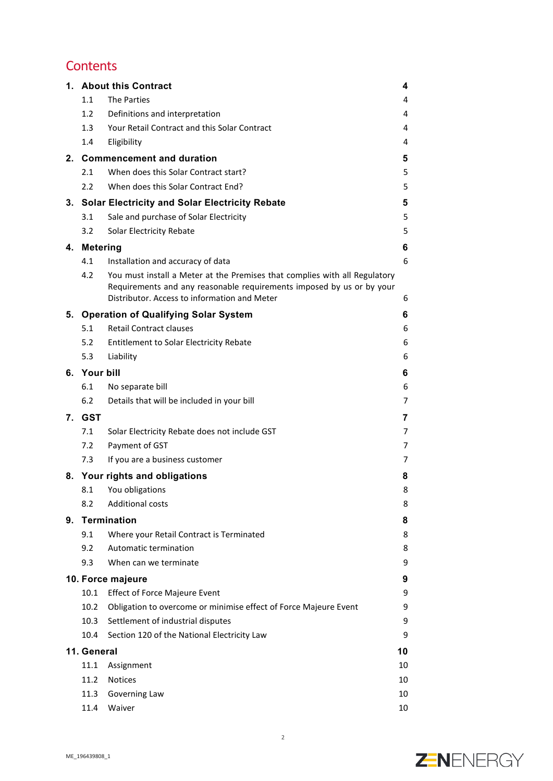## **Contents**

|    |                   | 1. About this Contract                                                                                                                                                                              | 4  |
|----|-------------------|-----------------------------------------------------------------------------------------------------------------------------------------------------------------------------------------------------|----|
|    | 1.1               | <b>The Parties</b>                                                                                                                                                                                  | 4  |
|    | 1.2               | Definitions and interpretation                                                                                                                                                                      | 4  |
|    | 1.3               | Your Retail Contract and this Solar Contract                                                                                                                                                        | 4  |
|    | 1.4               | Eligibility                                                                                                                                                                                         | 4  |
| 2. |                   | <b>Commencement and duration</b>                                                                                                                                                                    | 5  |
|    | 2.1               | When does this Solar Contract start?                                                                                                                                                                | 5  |
|    | $2.2^{\circ}$     | When does this Solar Contract End?                                                                                                                                                                  | 5  |
| 3. |                   | <b>Solar Electricity and Solar Electricity Rebate</b>                                                                                                                                               | 5  |
|    | 3.1               | Sale and purchase of Solar Electricity                                                                                                                                                              | 5  |
|    | 3.2               | Solar Electricity Rebate                                                                                                                                                                            | 5  |
| 4. | <b>Metering</b>   |                                                                                                                                                                                                     | 6  |
|    | 4.1               | Installation and accuracy of data                                                                                                                                                                   | 6  |
|    | 4.2               | You must install a Meter at the Premises that complies with all Regulatory<br>Requirements and any reasonable requirements imposed by us or by your<br>Distributor, Access to information and Meter | 6  |
|    |                   | 5. Operation of Qualifying Solar System                                                                                                                                                             | 6  |
|    | 5.1               | <b>Retail Contract clauses</b>                                                                                                                                                                      | 6  |
|    | 5.2               | <b>Entitlement to Solar Electricity Rebate</b>                                                                                                                                                      | 6  |
|    | 5.3               | Liability                                                                                                                                                                                           | 6  |
|    | 6. Your bill<br>6 |                                                                                                                                                                                                     |    |
|    | 6.1               | No separate bill                                                                                                                                                                                    | 6  |
|    | 6.2               | Details that will be included in your bill                                                                                                                                                          | 7  |
| 7. | <b>GST</b>        |                                                                                                                                                                                                     | 7  |
|    | 7.1               | Solar Electricity Rebate does not include GST                                                                                                                                                       | 7  |
|    | 7.2               | Payment of GST                                                                                                                                                                                      | 7  |
|    | 7.3               | If you are a business customer                                                                                                                                                                      | 7  |
| 8. |                   | Your rights and obligations                                                                                                                                                                         | 8  |
|    | 8.1               | You obligations                                                                                                                                                                                     | 8  |
|    | 8.2               | <b>Additional costs</b>                                                                                                                                                                             | 8  |
| 9. |                   | <b>Termination</b>                                                                                                                                                                                  | 8  |
|    | 9.1               | Where your Retail Contract is Terminated                                                                                                                                                            | 8  |
|    | 9.2               | Automatic termination                                                                                                                                                                               | 8  |
|    | 9.3               | When can we terminate                                                                                                                                                                               | 9  |
|    |                   | 10. Force majeure                                                                                                                                                                                   | 9  |
|    | 10.1              | <b>Effect of Force Majeure Event</b>                                                                                                                                                                | 9  |
|    | 10.2              | Obligation to overcome or minimise effect of Force Majeure Event                                                                                                                                    | 9  |
|    | 10.3              | Settlement of industrial disputes                                                                                                                                                                   | 9  |
|    | 10.4              | Section 120 of the National Electricity Law                                                                                                                                                         | 9  |
|    | 11. General       |                                                                                                                                                                                                     | 10 |
|    | 11.1              | Assignment                                                                                                                                                                                          | 10 |
|    | 11.2              | <b>Notices</b>                                                                                                                                                                                      | 10 |
|    | 11.3              | Governing Law                                                                                                                                                                                       | 10 |
|    | 11.4              | Waiver                                                                                                                                                                                              | 10 |

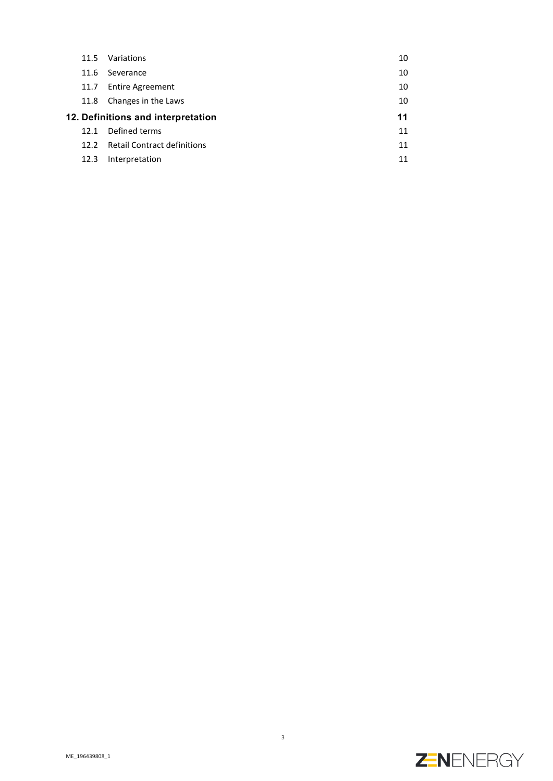|                                    | 11.5 | Variations                  | 10 |
|------------------------------------|------|-----------------------------|----|
|                                    | 11.6 | Severance                   | 10 |
|                                    | 11.7 | <b>Entire Agreement</b>     | 10 |
|                                    | 11.8 | Changes in the Laws         | 10 |
| 12. Definitions and interpretation |      |                             |    |
|                                    | 12.1 | Defined terms               | 11 |
|                                    | 12.2 | Retail Contract definitions | 11 |
|                                    | 12.3 | Interpretation              | 11 |

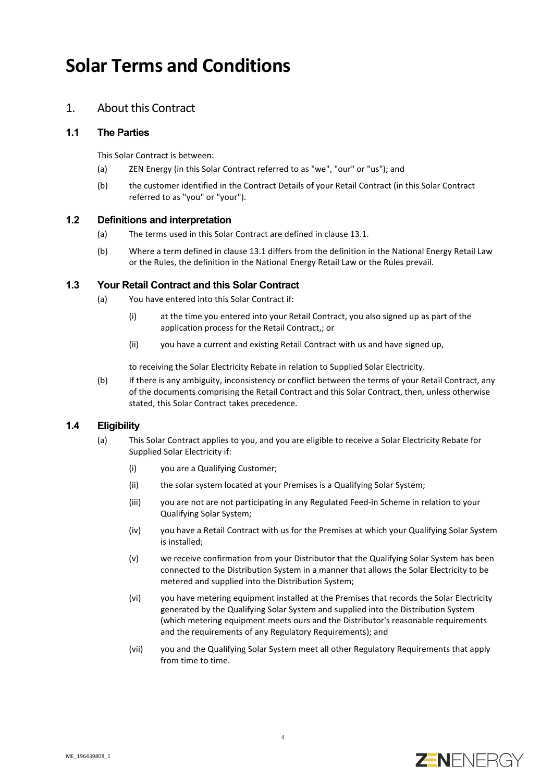## **Solar Terms and Conditions**

## 1. About this Contract

#### **1.1 The Parties**

This Solar Contract is between:

- (a) ZEN Energy (in this Solar Contract referred to as "we", "our" or "us"); and
- (b) the customer identified in the Contract Details of your Retail Contract (in this Solar Contract referred to as "you" or "your").

### **1.2 Definitions and interpretation**

- (a) The terms used in this Solar Contract are defined in clause [13.1.](#page-10-0)
- (b) Where a term defined in clause [13.1](#page-10-0) differs from the definition in the National Energy Retail Law or the Rules, the definition in the National Energy Retail Law or the Rules prevail.

#### **1.3 Your Retail Contract and this Solar Contract**

- (a) You have entered into this Solar Contract if:
	- (i) at the time you entered into your Retail Contract, you also signed up as part of the application process for the Retail Contract,; or
	- (ii) you have a current and existing Retail Contract with us and have signed up,

to receiving the Solar Electricity Rebate in relation to Supplied Solar Electricity.

(b) If there is any ambiguity, inconsistency or conflict between the terms of your Retail Contract, any of the documents comprising the Retail Contract and this Solar Contract, then, unless otherwise stated, this Solar Contract takes precedence.

#### <span id="page-3-0"></span>**1.4 Eligibility**

- (a) This Solar Contract applies to you, and you are eligible to receive a Solar Electricity Rebate for Supplied Solar Electricity if:
	- (i) you are a Qualifying Customer;
	- (ii) the solar system located at your Premises is a Qualifying Solar System;
	- (iii) you are not are not participating in any Regulated Feed-in Scheme in relation to your Qualifying Solar System;
	- (iv) you have a Retail Contract with us for the Premises at which your Qualifying Solar System is installed;
	- (v) we receive confirmation from your Distributor that the Qualifying Solar System has been connected to the Distribution System in a manner that allows the Solar Electricity to be metered and supplied into the Distribution System;
	- (vi) you have metering equipment installed at the Premises that records the Solar Electricity generated by the Qualifying Solar System and supplied into the Distribution System (which metering equipment meets ours and the Distributor's reasonable requirements and the requirements of any Regulatory Requirements); and
	- (vii) you and the Qualifying Solar System meet all other Regulatory Requirements that apply from time to time.

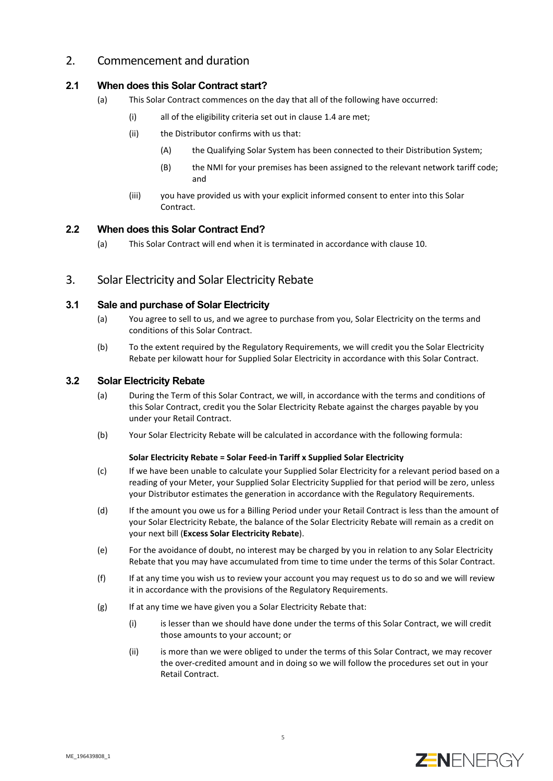## 2. Commencement and duration

## <span id="page-4-1"></span>**2.1 When does this Solar Contract start?**

- (a) This Solar Contract commences on the day that all of the following have occurred:
	- (i) all of the eligibility criteria set out in claus[e 1.4](#page-3-0) are met;
	- (ii) the Distributor confirms with us that:
		- (A) the Qualifying Solar System has been connected to their Distribution System;
		- (B) the NMI for your premises has been assigned to the relevant network tariff code; and
	- (iii) you have provided us with your explicit informed consent to enter into this Solar Contract.

## **2.2 When does this Solar Contract End?**

(a) This Solar Contract will end when it is terminated in accordance with claus[e 10.](#page-7-0)

## 3. Solar Electricity and Solar Electricity Rebate

## **3.1 Sale and purchase of Solar Electricity**

- (a) You agree to sell to us, and we agree to purchase from you, Solar Electricity on the terms and conditions of this Solar Contract.
- (b) To the extent required by the Regulatory Requirements, we will credit you the Solar Electricity Rebate per kilowatt hour for Supplied Solar Electricity in accordance with this Solar Contract.

### **3.2 Solar Electricity Rebate**

- (a) During the Term of this Solar Contract, we will, in accordance with the terms and conditions of this Solar Contract, credit you the Solar Electricity Rebate against the charges payable by you under your Retail Contract.
- <span id="page-4-0"></span>(b) Your Solar Electricity Rebate will be calculated in accordance with the following formula:

#### **Solar Electricity Rebate = Solar Feed-in Tariff x Supplied Solar Electricity**

- (c) If we have been unable to calculate your Supplied Solar Electricity for a relevant period based on a reading of your Meter, your Supplied Solar Electricity Supplied for that period will be zero, unless your Distributor estimates the generation in accordance with the Regulatory Requirements.
- (d) If the amount you owe us for a Billing Period under your Retail Contract is less than the amount of your Solar Electricity Rebate, the balance of the Solar Electricity Rebate will remain as a credit on your next bill (**Excess Solar Electricity Rebate**).
- (e) For the avoidance of doubt, no interest may be charged by you in relation to any Solar Electricity Rebate that you may have accumulated from time to time under the terms of this Solar Contract.
- (f) If at any time you wish us to review your account you may request us to do so and we will review it in accordance with the provisions of the Regulatory Requirements.
- (g) If at any time we have given you a Solar Electricity Rebate that:
	- (i) is lesser than we should have done under the terms of this Solar Contract, we will credit those amounts to your account; or
	- (ii) is more than we were obliged to under the terms of this Solar Contract, we may recover the over-credited amount and in doing so we will follow the procedures set out in your Retail Contract.

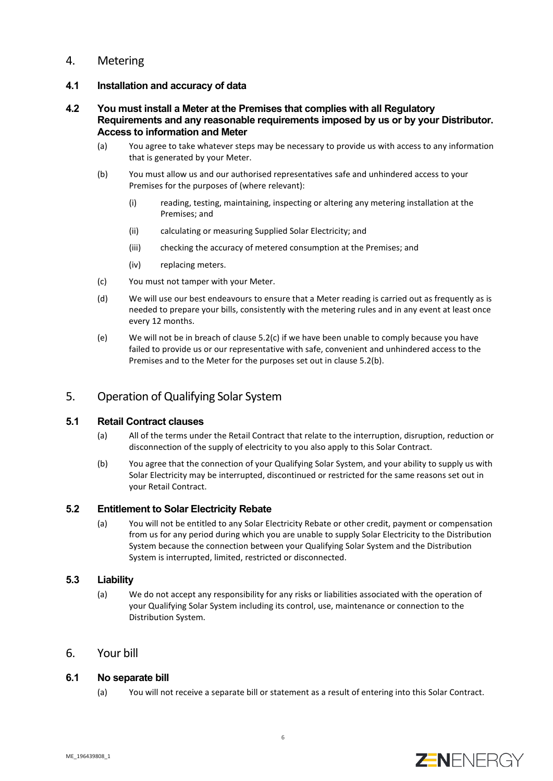## 4. Metering

## **4.1 Installation and accuracy of data**

## **4.2 You must install a Meter at the Premises that complies with all Regulatory Requirements and any reasonable requirements imposed by us or by your Distributor. Access to information and Meter**

- (a) You agree to take whatever steps may be necessary to provide us with access to any information that is generated by your Meter.
- <span id="page-5-1"></span>(b) You must allow us and our authorised representatives safe and unhindered access to your Premises for the purposes of (where relevant):
	- (i) reading, testing, maintaining, inspecting or altering any metering installation at the Premises; and
	- (ii) calculating or measuring Supplied Solar Electricity; and
	- (iii) checking the accuracy of metered consumption at the Premises; and
	- (iv) replacing meters.
- (c) You must not tamper with your Meter.
- <span id="page-5-0"></span>(d) We will use our best endeavours to ensure that a Meter reading is carried out as frequently as is needed to prepare your bills, consistently with the metering rules and in any event at least once every 12 months.
- (e) We will not be in breach of claus[e 5.2\(c\)](#page-5-0) if we have been unable to comply because you have failed to provide us or our representative with safe, convenient and unhindered access to the Premises and to the Meter for the purposes set out in claus[e 5.2\(b\).](#page-5-1)

## 5. Operation of Qualifying Solar System

#### **5.1 Retail Contract clauses**

- (a) All of the terms under the Retail Contract that relate to the interruption, disruption, reduction or disconnection of the supply of electricity to you also apply to this Solar Contract.
- (b) You agree that the connection of your Qualifying Solar System, and your ability to supply us with Solar Electricity may be interrupted, discontinued or restricted for the same reasons set out in your Retail Contract.

#### **5.2 Entitlement to Solar Electricity Rebate**

(a) You will not be entitled to any Solar Electricity Rebate or other credit, payment or compensation from us for any period during which you are unable to supply Solar Electricity to the Distribution System because the connection between your Qualifying Solar System and the Distribution System is interrupted, limited, restricted or disconnected.

#### **5.3 Liability**

(a) We do not accept any responsibility for any risks or liabilities associated with the operation of your Qualifying Solar System including its control, use, maintenance or connection to the Distribution System.

## 6. Your bill

#### **6.1 No separate bill**

(a) You will not receive a separate bill or statement as a result of entering into this Solar Contract.

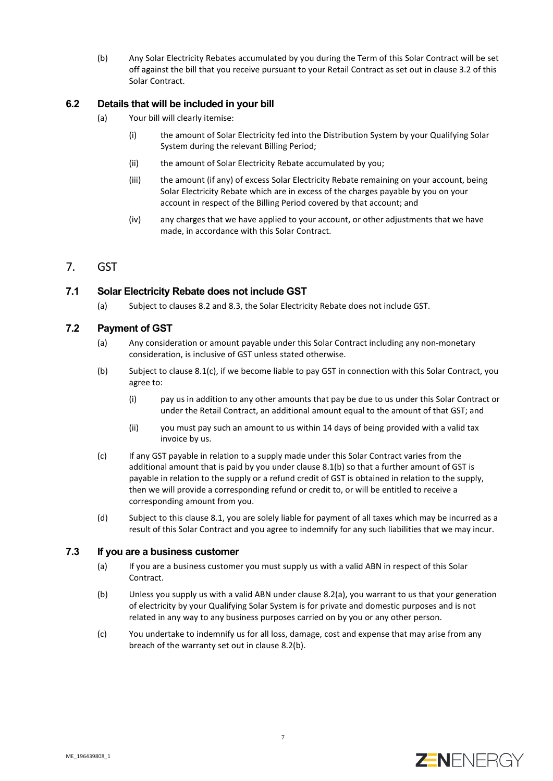(b) Any Solar Electricity Rebates accumulated by you during the Term of this Solar Contract will be set off against the bill that you receive pursuant to your Retail Contract as set out in clause 3.2 of this Solar Contract.

## **6.2 Details that will be included in your bill**

- (a) Your bill will clearly itemise:
	- (i) the amount of Solar Electricity fed into the Distribution System by your Qualifying Solar System during the relevant Billing Period;
	- (ii) the amount of Solar Electricity Rebate accumulated by you;
	- (iii) the amount (if any) of excess Solar Electricity Rebate remaining on your account, being Solar Electricity Rebate which are in excess of the charges payable by you on your account in respect of the Billing Period covered by that account; and
	- (iv) any charges that we have applied to your account, or other adjustments that we have made, in accordance with this Solar Contract.

## 7. GST

## <span id="page-6-4"></span>**7.1 Solar Electricity Rebate does not include GST**

(a) Subject to clauses [8.2](#page-6-0) an[d 8.3,](#page-6-1) the Solar Electricity Rebate does not include GST.

## <span id="page-6-0"></span>**7.2 Payment of GST**

- (a) Any consideration or amount payable under this Solar Contract including any non-monetary consideration, is inclusive of GST unless stated otherwise.
- <span id="page-6-3"></span>(b) Subject to clause [8.1\(c\),](#page-6-2) if we become liable to pay GST in connection with this Solar Contract, you agree to:
	- (i) pay us in addition to any other amounts that pay be due to us under this Solar Contract or under the Retail Contract, an additional amount equal to the amount of that GST; and
	- (ii) you must pay such an amount to us within 14 days of being provided with a valid tax invoice by us.
- <span id="page-6-2"></span>(c) If any GST payable in relation to a supply made under this Solar Contract varies from the additional amount that is paid by you under claus[e 8.1\(b\)](#page-6-3) so that a further amount of GST is payable in relation to the supply or a refund credit of GST is obtained in relation to the supply, then we will provide a corresponding refund or credit to, or will be entitled to receive a corresponding amount from you.
- (d) Subject to this clause [8.1,](#page-6-4) you are solely liable for payment of all taxes which may be incurred as a result of this Solar Contract and you agree to indemnify for any such liabilities that we may incur.

#### <span id="page-6-5"></span><span id="page-6-1"></span>**7.3 If you are a business customer**

- (a) If you are a business customer you must supply us with a valid ABN in respect of this Solar Contract.
- <span id="page-6-6"></span>(b) Unless you supply us with a valid ABN under claus[e 8.2\(a\),](#page-6-5) you warrant to us that your generation of electricity by your Qualifying Solar System is for private and domestic purposes and is not related in any way to any business purposes carried on by you or any other person.
- (c) You undertake to indemnify us for all loss, damage, cost and expense that may arise from any breach of the warranty set out in clause [8.2\(b\).](#page-6-6)

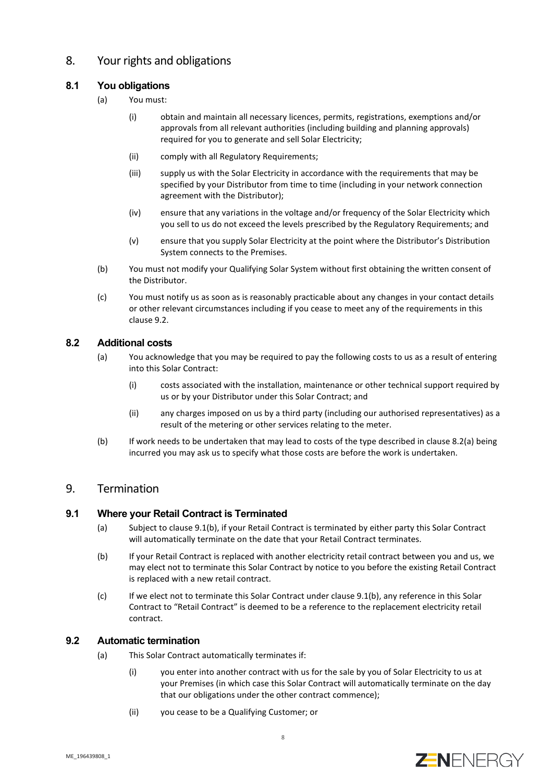## 8. Your rights and obligations

## <span id="page-7-1"></span>**8.1 You obligations**

- (a) You must:
	- (i) obtain and maintain all necessary licences, permits, registrations, exemptions and/or approvals from all relevant authorities (including building and planning approvals) required for you to generate and sell Solar Electricity;
	- (ii) comply with all Regulatory Requirements;
	- (iii) supply us with the Solar Electricity in accordance with the requirements that may be specified by your Distributor from time to time (including in your network connection agreement with the Distributor);
	- (iv) ensure that any variations in the voltage and/or frequency of the Solar Electricity which you sell to us do not exceed the levels prescribed by the Regulatory Requirements; and
	- (v) ensure that you supply Solar Electricity at the point where the Distributor's Distribution System connects to the Premises.
- (b) You must not modify your Qualifying Solar System without first obtaining the written consent of the Distributor.
- (c) You must notify us as soon as is reasonably practicable about any changes in your contact details or other relevant circumstances including if you cease to meet any of the requirements in this claus[e 9.2.](#page-7-1)

## <span id="page-7-2"></span>**8.2 Additional costs**

- (a) You acknowledge that you may be required to pay the following costs to us as a result of entering into this Solar Contract:
	- (i) costs associated with the installation, maintenance or other technical support required by us or by your Distributor under this Solar Contract; and
	- (ii) any charges imposed on us by a third party (including our authorised representatives) as a result of the metering or other services relating to the meter.
- (b) If work needs to be undertaken that may lead to costs of the type described in clause [8.2\(a\)](#page-7-2) being incurred you may ask us to specify what those costs are before the work is undertaken.

## <span id="page-7-0"></span>9. Termination

## **9.1 Where your Retail Contract is Terminated**

- (a) Subject to clause [9.1\(b\),](#page-7-3) if your Retail Contract is terminated by either party this Solar Contract will automatically terminate on the date that your Retail Contract terminates.
- <span id="page-7-3"></span>(b) If your Retail Contract is replaced with another electricity retail contract between you and us, we may elect not to terminate this Solar Contract by notice to you before the existing Retail Contract is replaced with a new retail contract.
- (c) If we elect not to terminate this Solar Contract under claus[e 9.1\(b\),](#page-7-3) any reference in this Solar Contract to "Retail Contract" is deemed to be a reference to the replacement electricity retail contract.

#### **9.2 Automatic termination**

- (a) This Solar Contract automatically terminates if:
	- (i) you enter into another contract with us for the sale by you of Solar Electricity to us at your Premises (in which case this Solar Contract will automatically terminate on the day that our obligations under the other contract commence);
	- (ii) you cease to be a Qualifying Customer; or

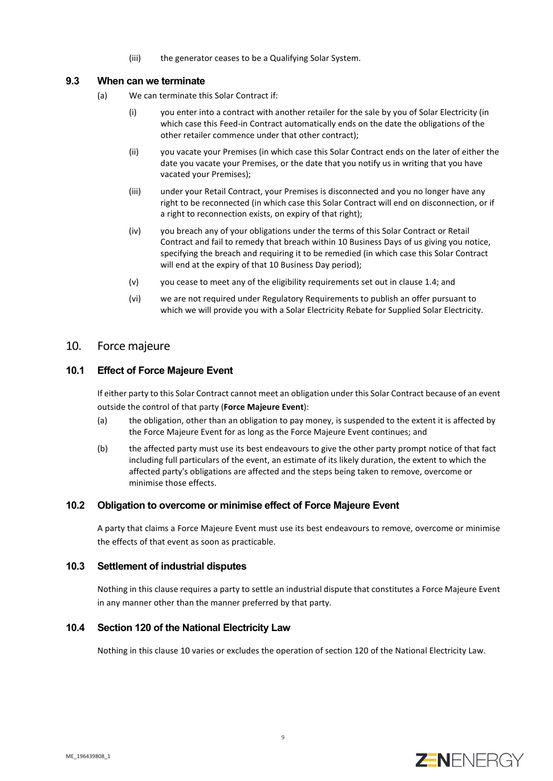(iii) the generator ceases to be a Qualifying Solar System.

### **9.3 When can we terminate**

- (a) We can terminate this Solar Contract if:
	- (i) you enter into a contract with another retailer for the sale by you of Solar Electricity (in which case this Feed-in Contract automatically ends on the date the obligations of the other retailer commence under that other contract);
	- (ii) you vacate your Premises (in which case this Solar Contract ends on the later of either the date you vacate your Premises, or the date that you notify us in writing that you have vacated your Premises);
	- (iii) under your Retail Contract, your Premises is disconnected and you no longer have any right to be reconnected (in which case this Solar Contract will end on disconnection, or if a right to reconnection exists, on expiry of that right);
	- (iv) you breach any of your obligations under the terms of this Solar Contract or Retail Contract and fail to remedy that breach within 10 Business Days of us giving you notice, specifying the breach and requiring it to be remedied (in which case this Solar Contract will end at the expiry of that 10 Business Day period);
	- (v) you cease to meet any of the eligibility requirements set out in claus[e 1.4;](#page-3-0) and
	- (vi) we are not required under Regulatory Requirements to publish an offer pursuant to which we will provide you with a Solar Electricity Rebate for Supplied Solar Electricity.

## <span id="page-8-0"></span>10. Force majeure

## **10.1 Effect of Force Majeure Event**

If either party to this Solar Contract cannot meet an obligation under this Solar Contract because of an event outside the control of that party (**Force Majeure Event**):

- (a) the obligation, other than an obligation to pay money, is suspended to the extent it is affected by the Force Majeure Event for as long as the Force Majeure Event continues; and
- (b) the affected party must use its best endeavours to give the other party prompt notice of that fact including full particulars of the event, an estimate of its likely duration, the extent to which the affected party's obligations are affected and the steps being taken to remove, overcome or minimise those effects.

## **10.2 Obligation to overcome or minimise effect of Force Majeure Event**

A party that claims a Force Majeure Event must use its best endeavours to remove, overcome or minimise the effects of that event as soon as practicable.

#### **10.3 Settlement of industrial disputes**

Nothing in this clause requires a party to settle an industrial dispute that constitutes a Force Majeure Event in any manner other than the manner preferred by that party.

## **10.4 Section 120 of the National Electricity Law**

Nothing in this claus[e 10](#page-8-0) varies or excludes the operation of section 120 of the National Electricity Law.

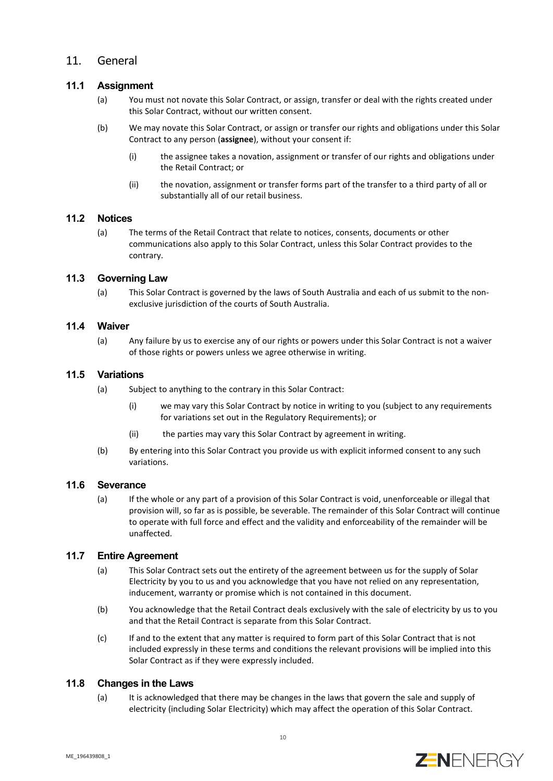## 11. General

## **11.1 Assignment**

- (a) You must not novate this Solar Contract, or assign, transfer or deal with the rights created under this Solar Contract, without our written consent.
- (b) We may novate this Solar Contract, or assign or transfer our rights and obligations under this Solar Contract to any person (**assignee**), without your consent if:
	- (i) the assignee takes a novation, assignment or transfer of our rights and obligations under the Retail Contract; or
	- (ii) the novation, assignment or transfer forms part of the transfer to a third party of all or substantially all of our retail business.

## **11.2 Notices**

(a) The terms of the Retail Contract that relate to notices, consents, documents or other communications also apply to this Solar Contract, unless this Solar Contract provides to the contrary.

#### **11.3 Governing Law**

(a) This Solar Contract is governed by the laws of South Australia and each of us submit to the nonexclusive jurisdiction of the courts of South Australia.

#### **11.4 Waiver**

(a) Any failure by us to exercise any of our rights or powers under this Solar Contract is not a waiver of those rights or powers unless we agree otherwise in writing.

#### **11.5 Variations**

- (a) Subject to anything to the contrary in this Solar Contract:
	- (i) we may vary this Solar Contract by notice in writing to you (subject to any requirements for variations set out in the Regulatory Requirements); or
	- (ii) the parties may vary this Solar Contract by agreement in writing.
- (b) By entering into this Solar Contract you provide us with explicit informed consent to any such variations.

#### **11.6 Severance**

(a) If the whole or any part of a provision of this Solar Contract is void, unenforceable or illegal that provision will, so far as is possible, be severable. The remainder of this Solar Contract will continue to operate with full force and effect and the validity and enforceability of the remainder will be unaffected.

#### **11.7 Entire Agreement**

- (a) This Solar Contract sets out the entirety of the agreement between us for the supply of Solar Electricity by you to us and you acknowledge that you have not relied on any representation, inducement, warranty or promise which is not contained in this document.
- (b) You acknowledge that the Retail Contract deals exclusively with the sale of electricity by us to you and that the Retail Contract is separate from this Solar Contract.
- (c) If and to the extent that any matter is required to form part of this Solar Contract that is not included expressly in these terms and conditions the relevant provisions will be implied into this Solar Contract as if they were expressly included.

#### **11.8 Changes in the Laws**

(a) It is acknowledged that there may be changes in the laws that govern the sale and supply of electricity (including Solar Electricity) which may affect the operation of this Solar Contract.

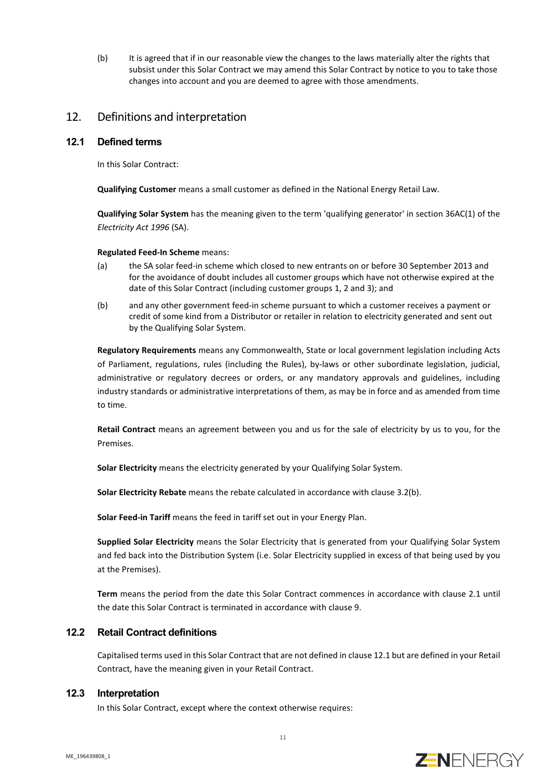(b) It is agreed that if in our reasonable view the changes to the laws materially alter the rights that subsist under this Solar Contract we may amend this Solar Contract by notice to you to take those changes into account and you are deemed to agree with those amendments.

## 12. Definitions and interpretation

### <span id="page-10-0"></span>**12.1 Defined terms**

In this Solar Contract:

**Qualifying Customer** means a small customer as defined in the National Energy Retail Law.

**Qualifying Solar System** has the meaning given to the term 'qualifying generator' in section 36AC(1) of the *Electricity Act 1996* (SA).

#### **Regulated Feed-In Scheme** means:

- (a) the SA solar feed-in scheme which closed to new entrants on or before 30 September 2013 and for the avoidance of doubt includes all customer groups which have not otherwise expired at the date of this Solar Contract (including customer groups 1, 2 and 3); and
- (b) and any other government feed-in scheme pursuant to which a customer receives a payment or credit of some kind from a Distributor or retailer in relation to electricity generated and sent out by the Qualifying Solar System.

**Regulatory Requirements** means any Commonwealth, State or local government legislation including Acts of Parliament, regulations, rules (including the Rules), by-laws or other subordinate legislation, judicial, administrative or regulatory decrees or orders, or any mandatory approvals and guidelines, including industry standards or administrative interpretations of them, as may be in force and as amended from time to time.

**Retail Contract** means an agreement between you and us for the sale of electricity by us to you, for the Premises.

**Solar Electricity** means the electricity generated by your Qualifying Solar System.

**Solar Electricity Rebate** means the rebate calculated in accordance with claus[e 3.2\(b\).](#page-4-0)

**Solar Feed-in Tariff** means the feed in tariff set out in your Energy Plan.

**Supplied Solar Electricity** means the Solar Electricity that is generated from your Qualifying Solar System and fed back into the Distribution System (i.e. Solar Electricity supplied in excess of that being used by you at the Premises).

**Term** means the period from the date this Solar Contract commences in accordance with claus[e 2.1](#page-4-1) until the date this Solar Contract is terminated in accordance with claus[e 9.](#page-7-0)

### **12.2 Retail Contract definitions**

Capitalised terms used in this Solar Contract that are not defined in claus[e 12.1](#page-10-0) but are defined in your Retail Contract, have the meaning given in your Retail Contract.

## **12.3 Interpretation**

In this Solar Contract, except where the context otherwise requires: